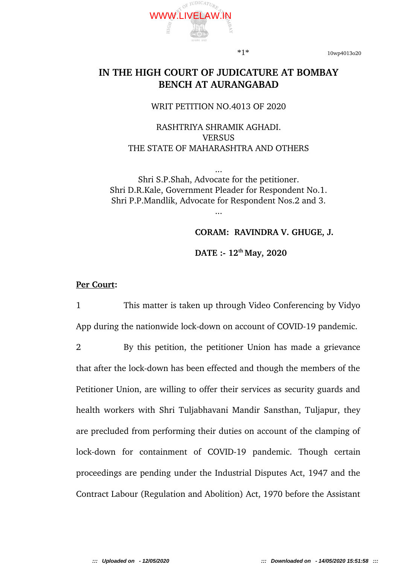

\*1\* 10wp4013o20

# **IN THE HIGH COURT OF JUDICATURE AT BOMBAY BENCH AT AURANGABAD**

### WRIT PETITION NO.4013 OF 2020

## RASHTRIYA SHRAMIK AGHADI. **VERSUS** THE STATE OF MAHARASHTRA AND OTHERS

Shri S.P.Shah, Advocate for the petitioner. Shri D.R.Kale, Government Pleader for Respondent No.1. Shri P.P.Mandlik, Advocate for Respondent Nos.2 and 3.

...

### **CORAM: RAVINDRA V. GHUGE, J.**

**DATE : 12th May, 2020** 

### **Per Court:**

1 This matter is taken up through Video Conferencing by Vidyo App during the nationwide lock-down on account of COVID-19 pandemic.

2 By this petition, the petitioner Union has made a grievance that after the lock-down has been effected and though the members of the Petitioner Union, are willing to offer their services as security guards and health workers with Shri Tuljabhavani Mandir Sansthan, Tuljapur, they are precluded from performing their duties on account of the clamping of lock-down for containment of COVID-19 pandemic. Though certain proceedings are pending under the Industrial Disputes Act, 1947 and the Contract Labour (Regulation and Abolition) Act, 1970 before the Assistant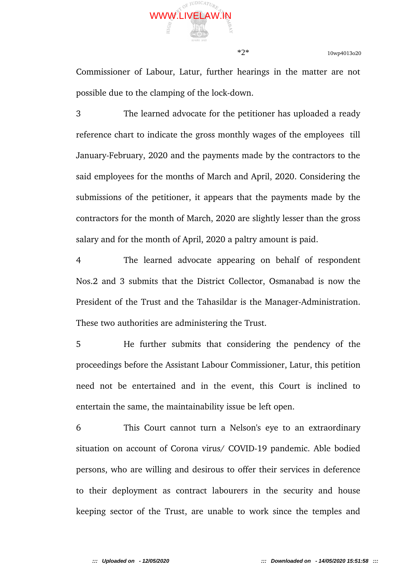

\*2\* 10wp4013o20

Commissioner of Labour, Latur, further hearings in the matter are not possible due to the clamping of the lock-down.

3 The learned advocate for the petitioner has uploaded a ready reference chart to indicate the gross monthly wages of the employees till January-February, 2020 and the payments made by the contractors to the said employees for the months of March and April, 2020. Considering the submissions of the petitioner, it appears that the payments made by the contractors for the month of March, 2020 are slightly lesser than the gross salary and for the month of April, 2020 a paltry amount is paid.

4 The learned advocate appearing on behalf of respondent Nos.2 and 3 submits that the District Collector, Osmanabad is now the President of the Trust and the Tahasildar is the Manager-Administration. These two authorities are administering the Trust.

5 He further submits that considering the pendency of the proceedings before the Assistant Labour Commissioner, Latur, this petition need not be entertained and in the event, this Court is inclined to entertain the same, the maintainability issue be left open.

6 This Court cannot turn a Nelson's eye to an extraordinary situation on account of Corona virus/ COVID-19 pandemic. Able bodied persons, who are willing and desirous to offer their services in deference to their deployment as contract labourers in the security and house keeping sector of the Trust, are unable to work since the temples and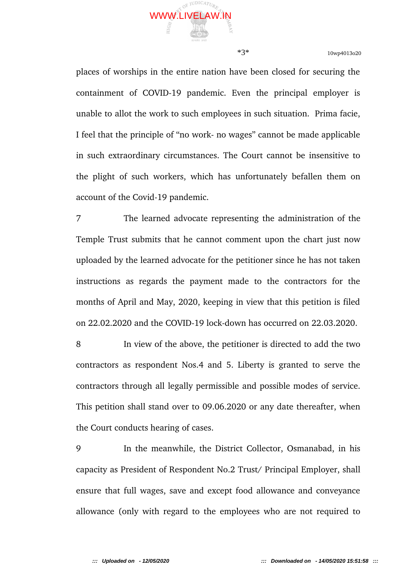

\*3\* 10wp4013o20

places of worships in the entire nation have been closed for securing the containment of COVID-19 pandemic. Even the principal employer is unable to allot the work to such employees in such situation. Prima facie, I feel that the principle of "no work- no wages" cannot be made applicable in such extraordinary circumstances. The Court cannot be insensitive to the plight of such workers, which has unfortunately befallen them on account of the Covid-19 pandemic.

7 The learned advocate representing the administration of the Temple Trust submits that he cannot comment upon the chart just now uploaded by the learned advocate for the petitioner since he has not taken instructions as regards the payment made to the contractors for the months of April and May, 2020, keeping in view that this petition is filed on 22.02.2020 and the COVID-19 lock-down has occurred on 22.03.2020.

8 In view of the above, the petitioner is directed to add the two contractors as respondent Nos.4 and 5. Liberty is granted to serve the contractors through all legally permissible and possible modes of service. This petition shall stand over to 09.06.2020 or any date thereafter, when the Court conducts hearing of cases.

9 In the meanwhile, the District Collector, Osmanabad, in his capacity as President of Respondent No.2 Trust/ Principal Employer, shall ensure that full wages, save and except food allowance and conveyance allowance (only with regard to the employees who are not required to